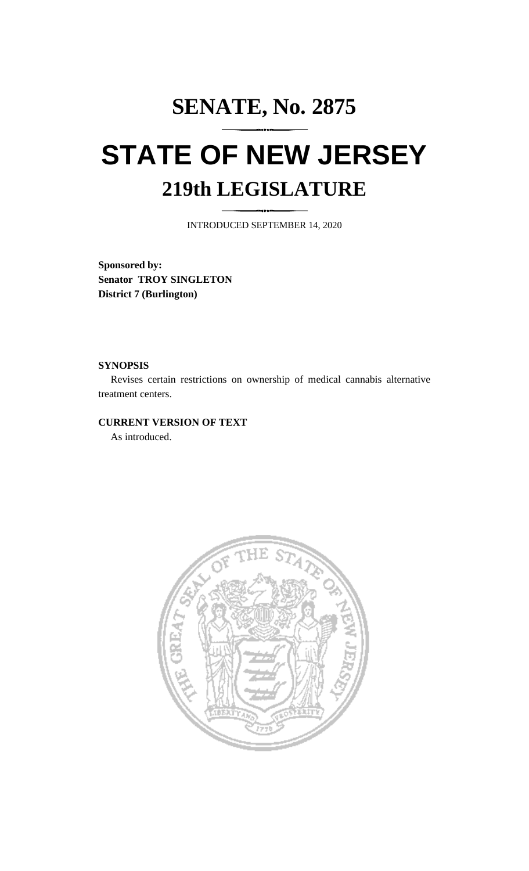# **SENATE, No. 2875 STATE OF NEW JERSEY 219th LEGISLATURE**

INTRODUCED SEPTEMBER 14, 2020

**Sponsored by: Senator TROY SINGLETON District 7 (Burlington)**

## **SYNOPSIS**

Revises certain restrictions on ownership of medical cannabis alternative treatment centers.

# **CURRENT VERSION OF TEXT**

As introduced.

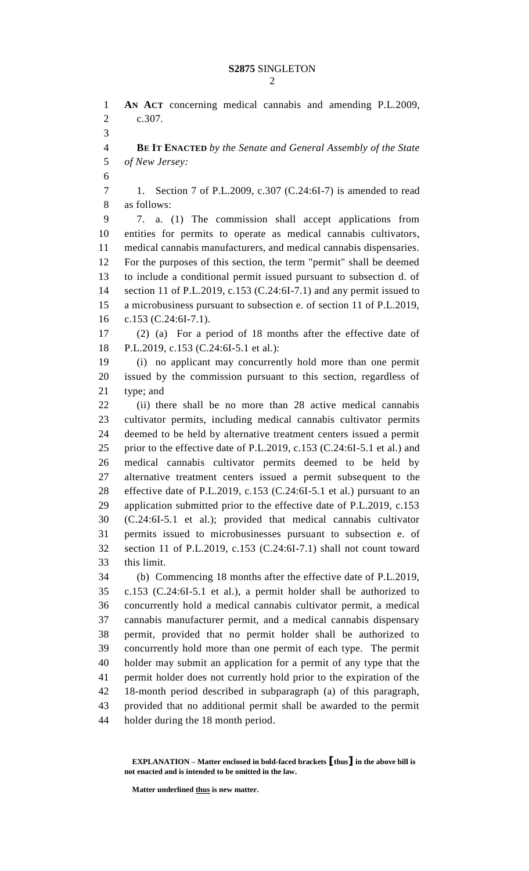**AN ACT** concerning medical cannabis and amending P.L.2009, c.307. **BE IT ENACTED** *by the Senate and General Assembly of the State of New Jersey:* 1. Section 7 of P.L.2009, c.307 (C.24:6I-7) is amended to read as follows: 7. a. (1) The commission shall accept applications from entities for permits to operate as medical cannabis cultivators, medical cannabis manufacturers, and medical cannabis dispensaries. For the purposes of this section, the term "permit" shall be deemed to include a conditional permit issued pursuant to subsection d. of section 11 of P.L.2019, c.153 (C.24:6I-7.1) and any permit issued to a microbusiness pursuant to subsection e. of section 11 of P.L.2019, c.153 (C.24:6I-7.1). (2) (a) For a period of 18 months after the effective date of P.L.2019, c.153 (C.24:6I-5.1 et al.): (i) no applicant may concurrently hold more than one permit issued by the commission pursuant to this section, regardless of type; and (ii) there shall be no more than 28 active medical cannabis cultivator permits, including medical cannabis cultivator permits deemed to be held by alternative treatment centers issued a permit prior to the effective date of P.L.2019, c.153 (C.24:6I-5.1 et al.) and medical cannabis cultivator permits deemed to be held by alternative treatment centers issued a permit subsequent to the effective date of P.L.2019, c.153 (C.24:6I-5.1 et al.) pursuant to an application submitted prior to the effective date of P.L.2019, c.153 (C.24:6I-5.1 et al.); provided that medical cannabis cultivator permits issued to microbusinesses pursuant to subsection e. of section 11 of P.L.2019, c.153 (C.24:6I-7.1) shall not count toward this limit. (b) Commencing 18 months after the effective date of P.L.2019, c.153 (C.24:6I-5.1 et al.), a permit holder shall be authorized to concurrently hold a medical cannabis cultivator permit, a medical cannabis manufacturer permit, and a medical cannabis dispensary permit, provided that no permit holder shall be authorized to concurrently hold more than one permit of each type. The permit holder may submit an application for a permit of any type that the permit holder does not currently hold prior to the expiration of the 18-month period described in subparagraph (a) of this paragraph, provided that no additional permit shall be awarded to the permit holder during the 18 month period.

**Matter underlined thus is new matter.**

**EXPLANATION – Matter enclosed in bold-faced brackets [thus] in the above bill is not enacted and is intended to be omitted in the law.**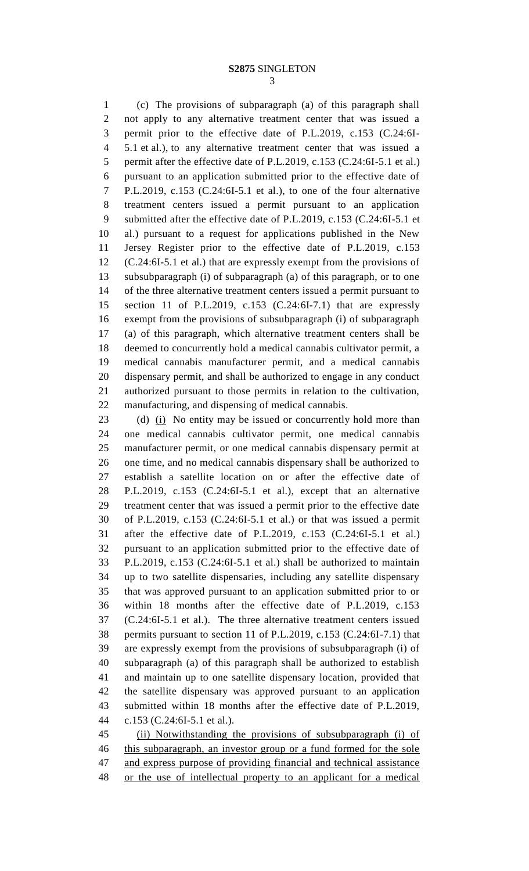# **S2875** SINGLETON

 (c) The provisions of subparagraph (a) of this paragraph shall not apply to any alternative treatment center that was issued a permit prior to the effective date of P.L.2019, c.153 (C.24:6I- 5.1 et al.), to any alternative treatment center that was issued a 5 permit after the effective date of P.L.2019, c.153 (C.24:6I-5.1 et al.) pursuant to an application submitted prior to the effective date of P.L.2019, c.153 (C.24:6I-5.1 et al.), to one of the four alternative treatment centers issued a permit pursuant to an application submitted after the effective date of P.L.2019, c.153 (C.24:6I-5.1 et al.) pursuant to a request for applications published in the New Jersey Register prior to the effective date of P.L.2019, c.153 (C.24:6I-5.1 et al.) that are expressly exempt from the provisions of subsubparagraph (i) of subparagraph (a) of this paragraph, or to one of the three alternative treatment centers issued a permit pursuant to section 11 of P.L.2019, c.153 (C.24:6I-7.1) that are expressly exempt from the provisions of subsubparagraph (i) of subparagraph (a) of this paragraph, which alternative treatment centers shall be deemed to concurrently hold a medical cannabis cultivator permit, a medical cannabis manufacturer permit, and a medical cannabis dispensary permit, and shall be authorized to engage in any conduct authorized pursuant to those permits in relation to the cultivation, manufacturing, and dispensing of medical cannabis.

23 (d) (i) No entity may be issued or concurrently hold more than one medical cannabis cultivator permit, one medical cannabis manufacturer permit, or one medical cannabis dispensary permit at one time, and no medical cannabis dispensary shall be authorized to establish a satellite location on or after the effective date of P.L.2019, c.153 (C.24:6I-5.1 et al.), except that an alternative treatment center that was issued a permit prior to the effective date of P.L.2019, c.153 (C.24:6I-5.1 et al.) or that was issued a permit after the effective date of P.L.2019, c.153 (C.24:6I-5.1 et al.) pursuant to an application submitted prior to the effective date of P.L.2019, c.153 (C.24:6I-5.1 et al.) shall be authorized to maintain up to two satellite dispensaries, including any satellite dispensary that was approved pursuant to an application submitted prior to or within 18 months after the effective date of P.L.2019, c.153 (C.24:6I-5.1 et al.). The three alternative treatment centers issued permits pursuant to section 11 of P.L.2019, c.153 (C.24:6I-7.1) that are expressly exempt from the provisions of subsubparagraph (i) of subparagraph (a) of this paragraph shall be authorized to establish and maintain up to one satellite dispensary location, provided that the satellite dispensary was approved pursuant to an application submitted within 18 months after the effective date of P.L.2019, c.153 (C.24:6I-5.1 et al.).

 (ii) Notwithstanding the provisions of subsubparagraph (i) of 46 this subparagraph, an investor group or a fund formed for the sole and express purpose of providing financial and technical assistance or the use of intellectual property to an applicant for a medical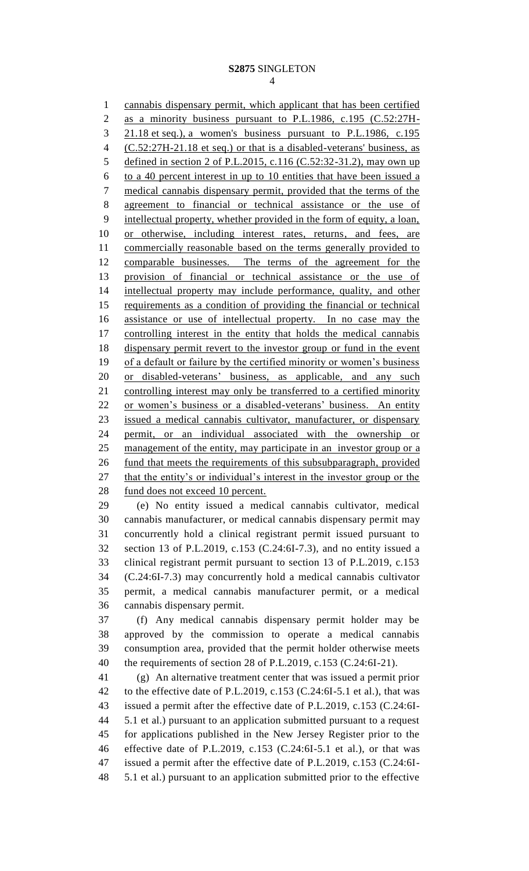#### **S2875** SINGLETON

cannabis dispensary permit, which applicant that has been certified

2 as a minority business pursuant to P.L.1986, c.195 (C.52:27H- 21.18 et seq.), a women's business pursuant to P.L.1986, c.195 (C.52:27H-21.18 et seq.) or that is a disabled-veterans' business, as defined in section 2 of P.L.2015, c.116 (C.52:32-31.2), may own up to a 40 percent interest in up to 10 entities that have been issued a medical cannabis dispensary permit, provided that the terms of the agreement to financial or technical assistance or the use of intellectual property, whether provided in the form of equity, a loan, or otherwise, including interest rates, returns, and fees, are commercially reasonable based on the terms generally provided to comparable businesses. The terms of the agreement for the provision of financial or technical assistance or the use of intellectual property may include performance, quality, and other requirements as a condition of providing the financial or technical assistance or use of intellectual property. In no case may the controlling interest in the entity that holds the medical cannabis dispensary permit revert to the investor group or fund in the event of a default or failure by the certified minority or women's business 20 or disabled-veterans' business, as applicable, and any such controlling interest may only be transferred to a certified minority or women's business or a disabled-veterans' business. An entity issued a medical cannabis cultivator, manufacturer, or dispensary permit, or an individual associated with the ownership or 25 management of the entity, may participate in an investor group or a 26 fund that meets the requirements of this subsubparagraph, provided 27 that the entity's or individual's interest in the investor group or the fund does not exceed 10 percent. (e) No entity issued a medical cannabis cultivator, medical cannabis manufacturer, or medical cannabis dispensary permit may concurrently hold a clinical registrant permit issued pursuant to section 13 of P.L.2019, c.153 (C.24:6I-7.3), and no entity issued a clinical registrant permit pursuant to section 13 of P.L.2019, c.153 (C.24:6I-7.3) may concurrently hold a medical cannabis cultivator permit, a medical cannabis manufacturer permit, or a medical cannabis dispensary permit. (f) Any medical cannabis dispensary permit holder may be approved by the commission to operate a medical cannabis consumption area, provided that the permit holder otherwise meets the requirements of section 28 of P.L.2019, c.153 (C.24:6I-21). (g) An alternative treatment center that was issued a permit prior to the effective date of P.L.2019, c.153 (C.24:6I-5.1 et al.), that was issued a permit after the effective date of P.L.2019, c.153 (C.24:6I- 5.1 et al.) pursuant to an application submitted pursuant to a request for applications published in the New Jersey Register prior to the effective date of P.L.2019, c.153 (C.24:6I-5.1 et al.), or that was issued a permit after the effective date of P.L.2019, c.153 (C.24:6I-5.1 et al.) pursuant to an application submitted prior to the effective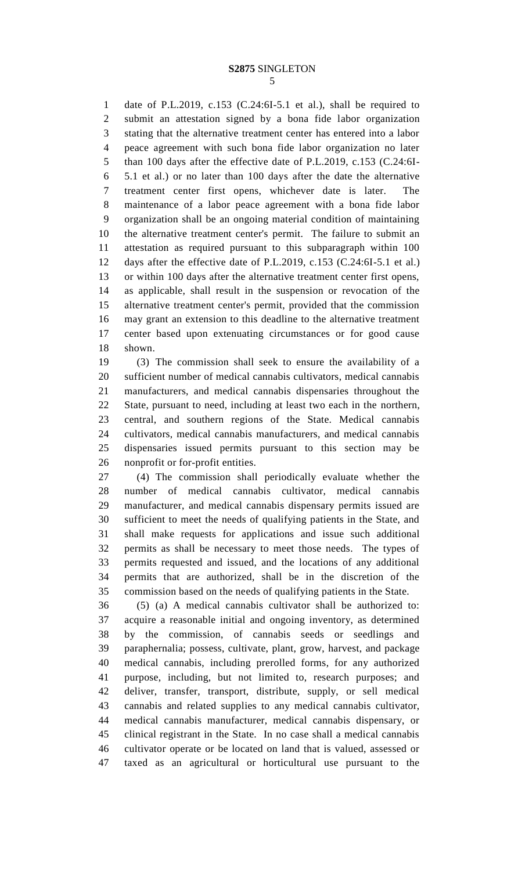date of P.L.2019, c.153 (C.24:6I-5.1 et al.), shall be required to submit an attestation signed by a bona fide labor organization stating that the alternative treatment center has entered into a labor peace agreement with such bona fide labor organization no later than 100 days after the effective date of P.L.2019, c.153 (C.24:6I- 5.1 et al.) or no later than 100 days after the date the alternative treatment center first opens, whichever date is later. The maintenance of a labor peace agreement with a bona fide labor organization shall be an ongoing material condition of maintaining the alternative treatment center's permit. The failure to submit an attestation as required pursuant to this subparagraph within 100 days after the effective date of P.L.2019, c.153 (C.24:6I-5.1 et al.) or within 100 days after the alternative treatment center first opens, as applicable, shall result in the suspension or revocation of the alternative treatment center's permit, provided that the commission may grant an extension to this deadline to the alternative treatment center based upon extenuating circumstances or for good cause shown.

 (3) The commission shall seek to ensure the availability of a sufficient number of medical cannabis cultivators, medical cannabis manufacturers, and medical cannabis dispensaries throughout the State, pursuant to need, including at least two each in the northern, central, and southern regions of the State. Medical cannabis cultivators, medical cannabis manufacturers, and medical cannabis dispensaries issued permits pursuant to this section may be nonprofit or for-profit entities.

 (4) The commission shall periodically evaluate whether the number of medical cannabis cultivator, medical cannabis manufacturer, and medical cannabis dispensary permits issued are sufficient to meet the needs of qualifying patients in the State, and shall make requests for applications and issue such additional permits as shall be necessary to meet those needs. The types of permits requested and issued, and the locations of any additional permits that are authorized, shall be in the discretion of the commission based on the needs of qualifying patients in the State.

 (5) (a) A medical cannabis cultivator shall be authorized to: acquire a reasonable initial and ongoing inventory, as determined by the commission, of cannabis seeds or seedlings and paraphernalia; possess, cultivate, plant, grow, harvest, and package medical cannabis, including prerolled forms, for any authorized purpose, including, but not limited to, research purposes; and deliver, transfer, transport, distribute, supply, or sell medical cannabis and related supplies to any medical cannabis cultivator, medical cannabis manufacturer, medical cannabis dispensary, or clinical registrant in the State. In no case shall a medical cannabis cultivator operate or be located on land that is valued, assessed or taxed as an agricultural or horticultural use pursuant to the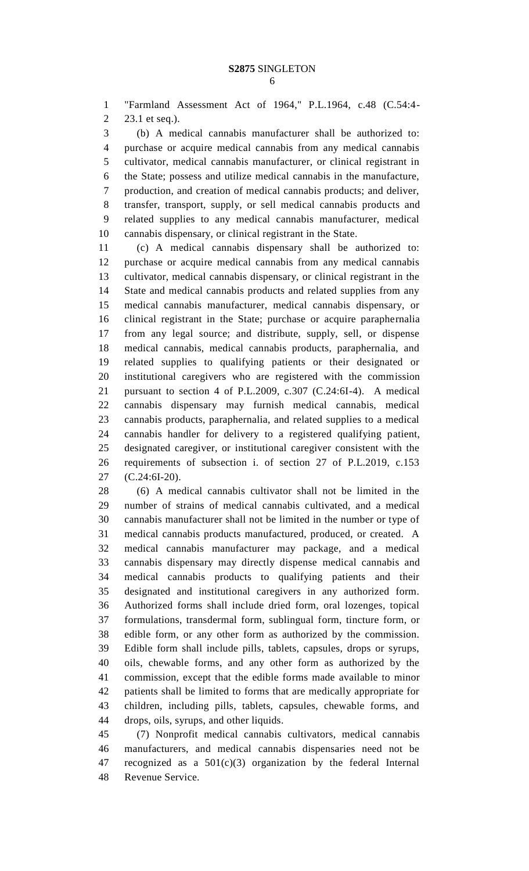"Farmland Assessment Act of 1964," P.L.1964, c.48 (C.54:4- 23.1 et seq.).

 (b) A medical cannabis manufacturer shall be authorized to: purchase or acquire medical cannabis from any medical cannabis cultivator, medical cannabis manufacturer, or clinical registrant in the State; possess and utilize medical cannabis in the manufacture, production, and creation of medical cannabis products; and deliver, transfer, transport, supply, or sell medical cannabis products and related supplies to any medical cannabis manufacturer, medical cannabis dispensary, or clinical registrant in the State.

 (c) A medical cannabis dispensary shall be authorized to: purchase or acquire medical cannabis from any medical cannabis cultivator, medical cannabis dispensary, or clinical registrant in the State and medical cannabis products and related supplies from any medical cannabis manufacturer, medical cannabis dispensary, or clinical registrant in the State; purchase or acquire paraphernalia from any legal source; and distribute, supply, sell, or dispense medical cannabis, medical cannabis products, paraphernalia, and related supplies to qualifying patients or their designated or institutional caregivers who are registered with the commission pursuant to section 4 of P.L.2009, c.307 (C.24:6I-4). A medical cannabis dispensary may furnish medical cannabis, medical cannabis products, paraphernalia, and related supplies to a medical cannabis handler for delivery to a registered qualifying patient, designated caregiver, or institutional caregiver consistent with the requirements of subsection i. of section 27 of P.L.2019, c.153 (C.24:6I-20).

 (6) A medical cannabis cultivator shall not be limited in the number of strains of medical cannabis cultivated, and a medical cannabis manufacturer shall not be limited in the number or type of medical cannabis products manufactured, produced, or created. A medical cannabis manufacturer may package, and a medical cannabis dispensary may directly dispense medical cannabis and medical cannabis products to qualifying patients and their designated and institutional caregivers in any authorized form. Authorized forms shall include dried form, oral lozenges, topical formulations, transdermal form, sublingual form, tincture form, or edible form, or any other form as authorized by the commission. Edible form shall include pills, tablets, capsules, drops or syrups, oils, chewable forms, and any other form as authorized by the commission, except that the edible forms made available to minor patients shall be limited to forms that are medically appropriate for children, including pills, tablets, capsules, chewable forms, and drops, oils, syrups, and other liquids.

 (7) Nonprofit medical cannabis cultivators, medical cannabis manufacturers, and medical cannabis dispensaries need not be recognized as a 501(c)(3) organization by the federal Internal Revenue Service.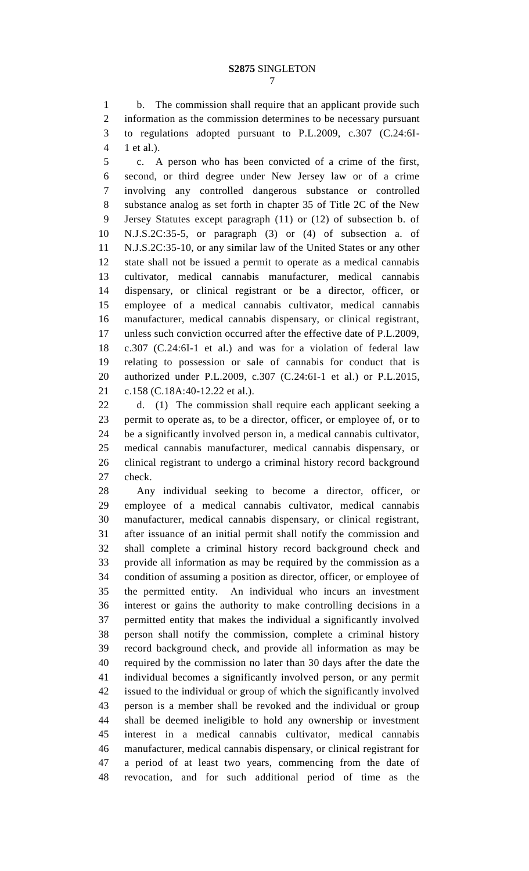b. The commission shall require that an applicant provide such information as the commission determines to be necessary pursuant to regulations adopted pursuant to P.L.2009, c.307 (C.24:6I-1 et al.).

 c. A person who has been convicted of a crime of the first, second, or third degree under New Jersey law or of a crime involving any controlled dangerous substance or controlled substance analog as set forth in chapter 35 of Title 2C of the New Jersey Statutes except paragraph (11) or (12) of subsection b. of N.J.S.2C:35-5, or paragraph (3) or (4) of subsection a. of N.J.S.2C:35-10, or any similar law of the United States or any other state shall not be issued a permit to operate as a medical cannabis cultivator, medical cannabis manufacturer, medical cannabis dispensary, or clinical registrant or be a director, officer, or employee of a medical cannabis cultivator, medical cannabis manufacturer, medical cannabis dispensary, or clinical registrant, unless such conviction occurred after the effective date of P.L.2009, c.307 (C.24:6I-1 et al.) and was for a violation of federal law relating to possession or sale of cannabis for conduct that is authorized under P.L.2009, c.307 (C.24:6I-1 et al.) or P.L.2015, c.158 (C.18A:40-12.22 et al.).

 d. (1) The commission shall require each applicant seeking a permit to operate as, to be a director, officer, or employee of, or to be a significantly involved person in, a medical cannabis cultivator, medical cannabis manufacturer, medical cannabis dispensary, or clinical registrant to undergo a criminal history record background check.

 Any individual seeking to become a director, officer, or employee of a medical cannabis cultivator, medical cannabis manufacturer, medical cannabis dispensary, or clinical registrant, after issuance of an initial permit shall notify the commission and shall complete a criminal history record background check and provide all information as may be required by the commission as a condition of assuming a position as director, officer, or employee of the permitted entity. An individual who incurs an investment interest or gains the authority to make controlling decisions in a permitted entity that makes the individual a significantly involved person shall notify the commission, complete a criminal history record background check, and provide all information as may be required by the commission no later than 30 days after the date the individual becomes a significantly involved person, or any permit issued to the individual or group of which the significantly involved person is a member shall be revoked and the individual or group shall be deemed ineligible to hold any ownership or investment interest in a medical cannabis cultivator, medical cannabis manufacturer, medical cannabis dispensary, or clinical registrant for a period of at least two years, commencing from the date of revocation, and for such additional period of time as the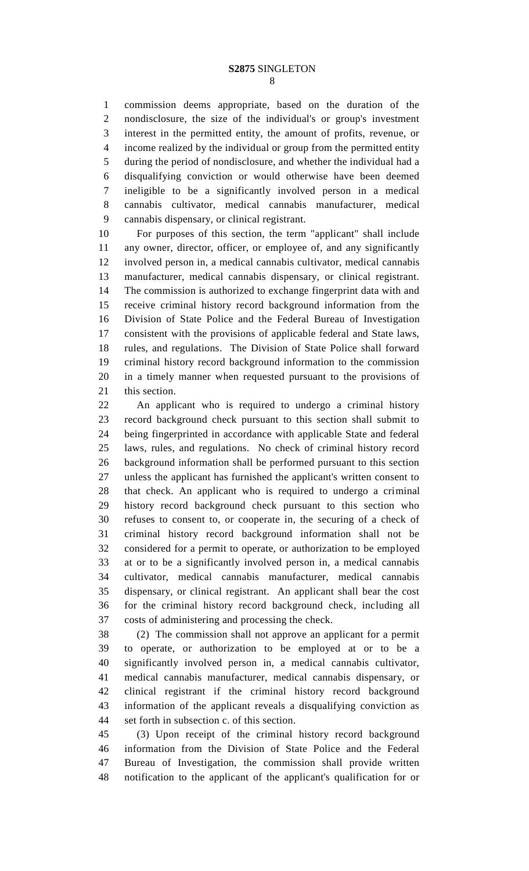commission deems appropriate, based on the duration of the nondisclosure, the size of the individual's or group's investment interest in the permitted entity, the amount of profits, revenue, or income realized by the individual or group from the permitted entity during the period of nondisclosure, and whether the individual had a disqualifying conviction or would otherwise have been deemed ineligible to be a significantly involved person in a medical cannabis cultivator, medical cannabis manufacturer, medical cannabis dispensary, or clinical registrant.

 For purposes of this section, the term "applicant" shall include any owner, director, officer, or employee of, and any significantly involved person in, a medical cannabis cultivator, medical cannabis manufacturer, medical cannabis dispensary, or clinical registrant. The commission is authorized to exchange fingerprint data with and receive criminal history record background information from the Division of State Police and the Federal Bureau of Investigation consistent with the provisions of applicable federal and State laws, rules, and regulations. The Division of State Police shall forward criminal history record background information to the commission in a timely manner when requested pursuant to the provisions of this section.

 An applicant who is required to undergo a criminal history record background check pursuant to this section shall submit to being fingerprinted in accordance with applicable State and federal laws, rules, and regulations. No check of criminal history record background information shall be performed pursuant to this section unless the applicant has furnished the applicant's written consent to that check. An applicant who is required to undergo a criminal history record background check pursuant to this section who refuses to consent to, or cooperate in, the securing of a check of criminal history record background information shall not be considered for a permit to operate, or authorization to be employed at or to be a significantly involved person in, a medical cannabis cultivator, medical cannabis manufacturer, medical cannabis dispensary, or clinical registrant. An applicant shall bear the cost for the criminal history record background check, including all costs of administering and processing the check.

 (2) The commission shall not approve an applicant for a permit to operate, or authorization to be employed at or to be a significantly involved person in, a medical cannabis cultivator, medical cannabis manufacturer, medical cannabis dispensary, or clinical registrant if the criminal history record background information of the applicant reveals a disqualifying conviction as set forth in subsection c. of this section.

 (3) Upon receipt of the criminal history record background information from the Division of State Police and the Federal Bureau of Investigation, the commission shall provide written notification to the applicant of the applicant's qualification for or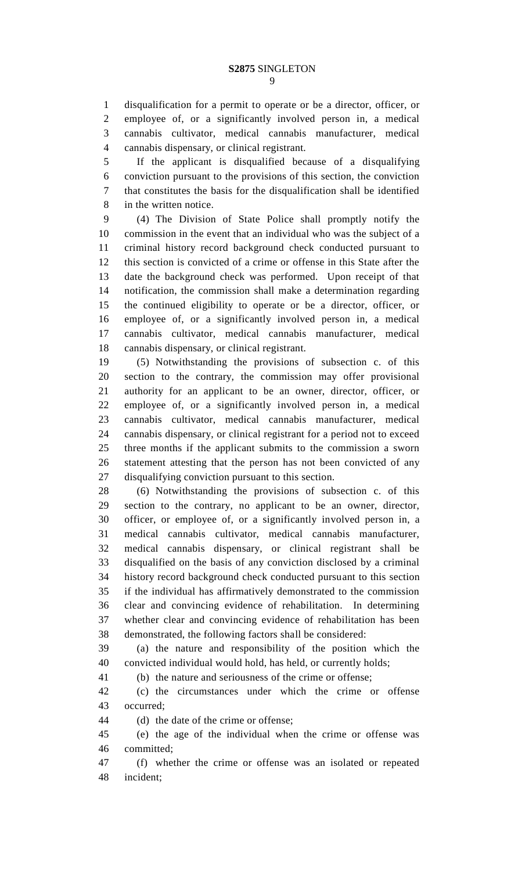disqualification for a permit to operate or be a director, officer, or employee of, or a significantly involved person in, a medical cannabis cultivator, medical cannabis manufacturer, medical cannabis dispensary, or clinical registrant.

 If the applicant is disqualified because of a disqualifying conviction pursuant to the provisions of this section, the conviction that constitutes the basis for the disqualification shall be identified in the written notice.

 (4) The Division of State Police shall promptly notify the commission in the event that an individual who was the subject of a criminal history record background check conducted pursuant to this section is convicted of a crime or offense in this State after the date the background check was performed. Upon receipt of that notification, the commission shall make a determination regarding the continued eligibility to operate or be a director, officer, or employee of, or a significantly involved person in, a medical cannabis cultivator, medical cannabis manufacturer, medical cannabis dispensary, or clinical registrant.

 (5) Notwithstanding the provisions of subsection c. of this section to the contrary, the commission may offer provisional authority for an applicant to be an owner, director, officer, or employee of, or a significantly involved person in, a medical cannabis cultivator, medical cannabis manufacturer, medical cannabis dispensary, or clinical registrant for a period not to exceed three months if the applicant submits to the commission a sworn statement attesting that the person has not been convicted of any disqualifying conviction pursuant to this section.

 (6) Notwithstanding the provisions of subsection c. of this section to the contrary, no applicant to be an owner, director, officer, or employee of, or a significantly involved person in, a medical cannabis cultivator, medical cannabis manufacturer, medical cannabis dispensary, or clinical registrant shall be disqualified on the basis of any conviction disclosed by a criminal history record background check conducted pursuant to this section if the individual has affirmatively demonstrated to the commission clear and convincing evidence of rehabilitation. In determining whether clear and convincing evidence of rehabilitation has been demonstrated, the following factors shall be considered:

 (a) the nature and responsibility of the position which the convicted individual would hold, has held, or currently holds;

(b) the nature and seriousness of the crime or offense;

 (c) the circumstances under which the crime or offense occurred;

(d) the date of the crime or offense;

 (e) the age of the individual when the crime or offense was committed;

 (f) whether the crime or offense was an isolated or repeated incident;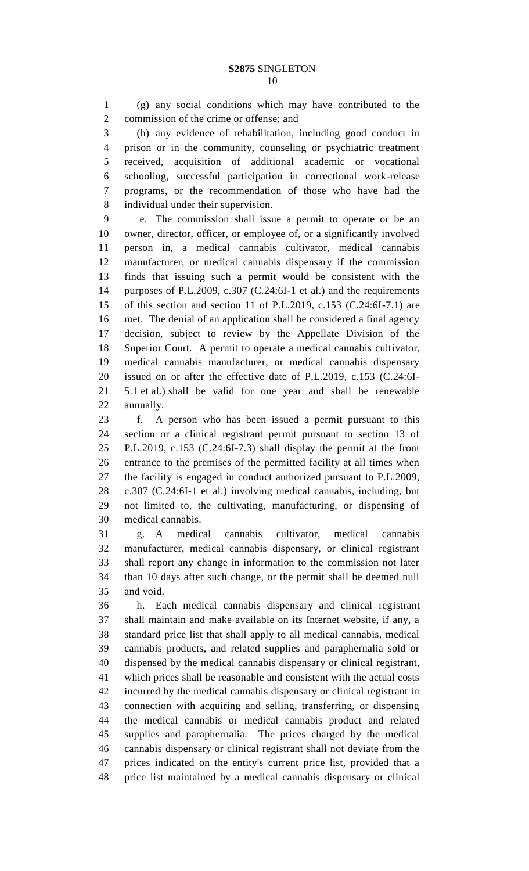(g) any social conditions which may have contributed to the commission of the crime or offense; and

 (h) any evidence of rehabilitation, including good conduct in prison or in the community, counseling or psychiatric treatment received, acquisition of additional academic or vocational schooling, successful participation in correctional work-release programs, or the recommendation of those who have had the individual under their supervision.

 e. The commission shall issue a permit to operate or be an owner, director, officer, or employee of, or a significantly involved person in, a medical cannabis cultivator, medical cannabis manufacturer, or medical cannabis dispensary if the commission finds that issuing such a permit would be consistent with the purposes of P.L.2009, c.307 (C.24:6I-1 et al.) and the requirements of this section and section 11 of P.L.2019, c.153 (C.24:6I-7.1) are met. The denial of an application shall be considered a final agency decision, subject to review by the Appellate Division of the Superior Court. A permit to operate a medical cannabis cultivator, medical cannabis manufacturer, or medical cannabis dispensary issued on or after the effective date of P.L.2019, c.153 (C.24:6I- 5.1 et al.) shall be valid for one year and shall be renewable annually.

 f. A person who has been issued a permit pursuant to this section or a clinical registrant permit pursuant to section 13 of P.L.2019, c.153 (C.24:6I-7.3) shall display the permit at the front entrance to the premises of the permitted facility at all times when the facility is engaged in conduct authorized pursuant to P.L.2009, c.307 (C.24:6I-1 et al.) involving medical cannabis, including, but not limited to, the cultivating, manufacturing, or dispensing of medical cannabis.

 g. A medical cannabis cultivator, medical cannabis manufacturer, medical cannabis dispensary, or clinical registrant shall report any change in information to the commission not later than 10 days after such change, or the permit shall be deemed null and void.

 h. Each medical cannabis dispensary and clinical registrant shall maintain and make available on its Internet website, if any, a standard price list that shall apply to all medical cannabis, medical cannabis products, and related supplies and paraphernalia sold or dispensed by the medical cannabis dispensary or clinical registrant, which prices shall be reasonable and consistent with the actual costs incurred by the medical cannabis dispensary or clinical registrant in connection with acquiring and selling, transferring, or dispensing the medical cannabis or medical cannabis product and related supplies and paraphernalia. The prices charged by the medical cannabis dispensary or clinical registrant shall not deviate from the prices indicated on the entity's current price list, provided that a price list maintained by a medical cannabis dispensary or clinical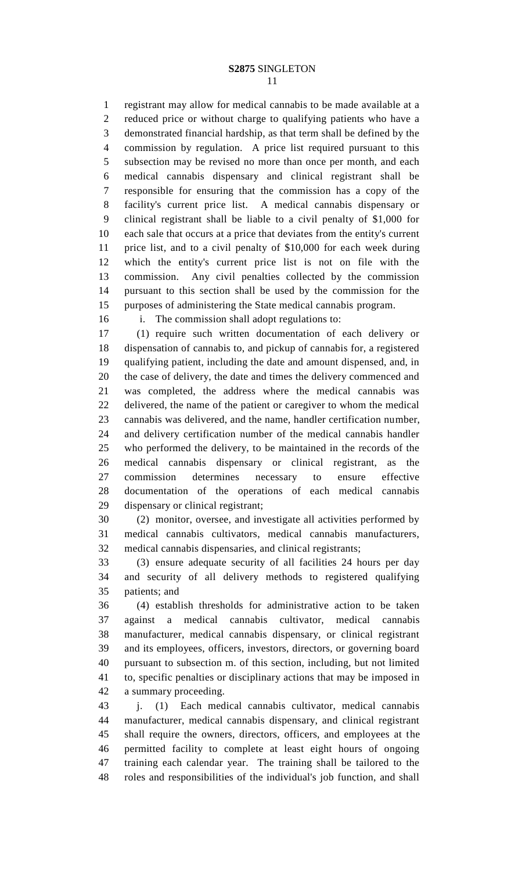### **S2875** SINGLETON

 registrant may allow for medical cannabis to be made available at a reduced price or without charge to qualifying patients who have a demonstrated financial hardship, as that term shall be defined by the commission by regulation. A price list required pursuant to this subsection may be revised no more than once per month, and each medical cannabis dispensary and clinical registrant shall be responsible for ensuring that the commission has a copy of the facility's current price list. A medical cannabis dispensary or clinical registrant shall be liable to a civil penalty of \$1,000 for each sale that occurs at a price that deviates from the entity's current price list, and to a civil penalty of \$10,000 for each week during which the entity's current price list is not on file with the commission. Any civil penalties collected by the commission pursuant to this section shall be used by the commission for the purposes of administering the State medical cannabis program.

i. The commission shall adopt regulations to:

 (1) require such written documentation of each delivery or dispensation of cannabis to, and pickup of cannabis for, a registered qualifying patient, including the date and amount dispensed, and, in the case of delivery, the date and times the delivery commenced and was completed, the address where the medical cannabis was delivered, the name of the patient or caregiver to whom the medical cannabis was delivered, and the name, handler certification number, and delivery certification number of the medical cannabis handler who performed the delivery, to be maintained in the records of the medical cannabis dispensary or clinical registrant, as the commission determines necessary to ensure effective documentation of the operations of each medical cannabis dispensary or clinical registrant;

 (2) monitor, oversee, and investigate all activities performed by medical cannabis cultivators, medical cannabis manufacturers, medical cannabis dispensaries, and clinical registrants;

 (3) ensure adequate security of all facilities 24 hours per day and security of all delivery methods to registered qualifying patients; and

 (4) establish thresholds for administrative action to be taken against a medical cannabis cultivator, medical cannabis manufacturer, medical cannabis dispensary, or clinical registrant and its employees, officers, investors, directors, or governing board pursuant to subsection m. of this section, including, but not limited to, specific penalties or disciplinary actions that may be imposed in a summary proceeding.

 j. (1) Each medical cannabis cultivator, medical cannabis manufacturer, medical cannabis dispensary, and clinical registrant shall require the owners, directors, officers, and employees at the permitted facility to complete at least eight hours of ongoing training each calendar year. The training shall be tailored to the roles and responsibilities of the individual's job function, and shall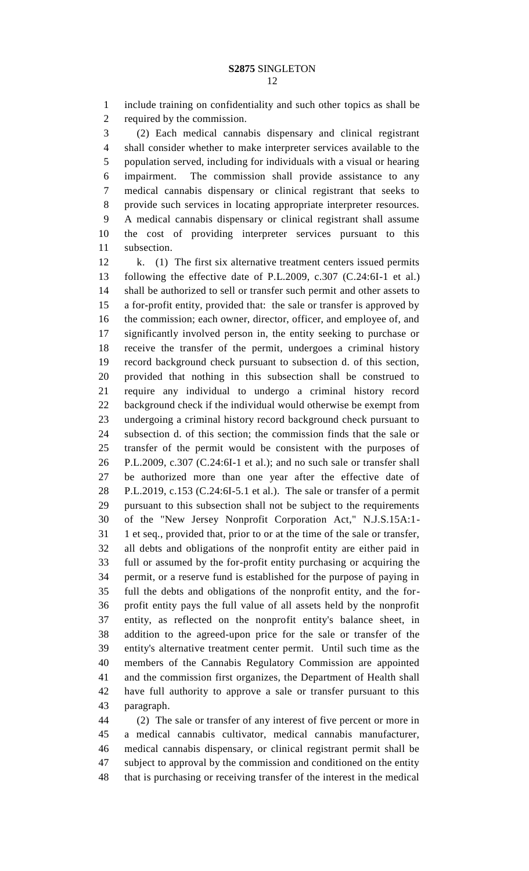include training on confidentiality and such other topics as shall be required by the commission.

 (2) Each medical cannabis dispensary and clinical registrant shall consider whether to make interpreter services available to the population served, including for individuals with a visual or hearing impairment. The commission shall provide assistance to any medical cannabis dispensary or clinical registrant that seeks to provide such services in locating appropriate interpreter resources. A medical cannabis dispensary or clinical registrant shall assume the cost of providing interpreter services pursuant to this subsection.

 k. (1) The first six alternative treatment centers issued permits following the effective date of P.L.2009, c.307 (C.24:6I-1 et al.) shall be authorized to sell or transfer such permit and other assets to a for-profit entity, provided that: the sale or transfer is approved by the commission; each owner, director, officer, and employee of, and significantly involved person in, the entity seeking to purchase or receive the transfer of the permit, undergoes a criminal history record background check pursuant to subsection d. of this section, provided that nothing in this subsection shall be construed to require any individual to undergo a criminal history record background check if the individual would otherwise be exempt from undergoing a criminal history record background check pursuant to subsection d. of this section; the commission finds that the sale or transfer of the permit would be consistent with the purposes of P.L.2009, c.307 (C.24:6I-1 et al.); and no such sale or transfer shall be authorized more than one year after the effective date of P.L.2019, c.153 (C.24:6I-5.1 et al.). The sale or transfer of a permit pursuant to this subsection shall not be subject to the requirements of the "New Jersey Nonprofit Corporation Act," N.J.S.15A:1- 1 et seq., provided that, prior to or at the time of the sale or transfer, all debts and obligations of the nonprofit entity are either paid in full or assumed by the for-profit entity purchasing or acquiring the permit, or a reserve fund is established for the purpose of paying in full the debts and obligations of the nonprofit entity, and the for- profit entity pays the full value of all assets held by the nonprofit entity, as reflected on the nonprofit entity's balance sheet, in addition to the agreed-upon price for the sale or transfer of the entity's alternative treatment center permit. Until such time as the members of the Cannabis Regulatory Commission are appointed and the commission first organizes, the Department of Health shall have full authority to approve a sale or transfer pursuant to this paragraph.

 (2) The sale or transfer of any interest of five percent or more in a medical cannabis cultivator, medical cannabis manufacturer, medical cannabis dispensary, or clinical registrant permit shall be subject to approval by the commission and conditioned on the entity that is purchasing or receiving transfer of the interest in the medical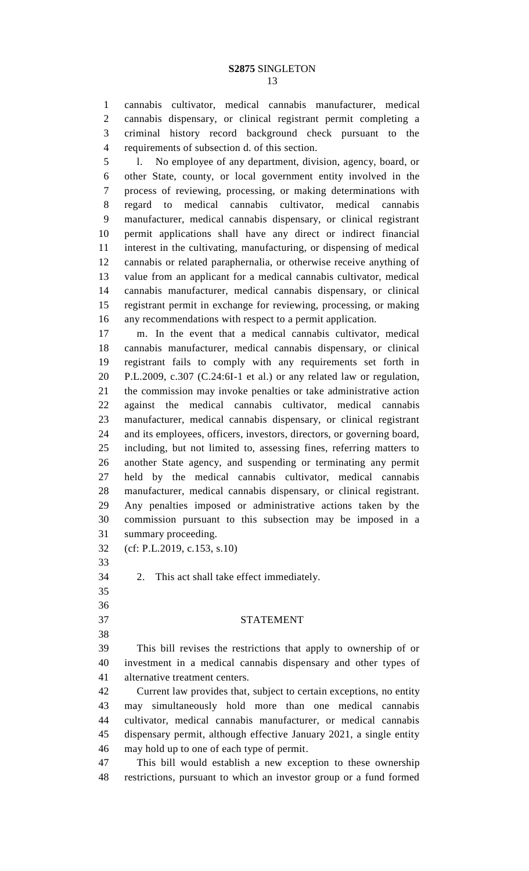cannabis cultivator, medical cannabis manufacturer, medical cannabis dispensary, or clinical registrant permit completing a criminal history record background check pursuant to the requirements of subsection d. of this section.

 l. No employee of any department, division, agency, board, or other State, county, or local government entity involved in the process of reviewing, processing, or making determinations with regard to medical cannabis cultivator, medical cannabis manufacturer, medical cannabis dispensary, or clinical registrant permit applications shall have any direct or indirect financial interest in the cultivating, manufacturing, or dispensing of medical cannabis or related paraphernalia, or otherwise receive anything of value from an applicant for a medical cannabis cultivator, medical cannabis manufacturer, medical cannabis dispensary, or clinical registrant permit in exchange for reviewing, processing, or making any recommendations with respect to a permit application.

 m. In the event that a medical cannabis cultivator, medical cannabis manufacturer, medical cannabis dispensary, or clinical registrant fails to comply with any requirements set forth in P.L.2009, c.307 (C.24:6I-1 et al.) or any related law or regulation, the commission may invoke penalties or take administrative action against the medical cannabis cultivator, medical cannabis manufacturer, medical cannabis dispensary, or clinical registrant and its employees, officers, investors, directors, or governing board, including, but not limited to, assessing fines, referring matters to another State agency, and suspending or terminating any permit held by the medical cannabis cultivator, medical cannabis manufacturer, medical cannabis dispensary, or clinical registrant. Any penalties imposed or administrative actions taken by the commission pursuant to this subsection may be imposed in a summary proceeding.

(cf: P.L.2019, c.153, s.10)

2. This act shall take effect immediately.

 

## STATEMENT

 This bill revises the restrictions that apply to ownership of or investment in a medical cannabis dispensary and other types of alternative treatment centers.

 Current law provides that, subject to certain exceptions, no entity may simultaneously hold more than one medical cannabis cultivator, medical cannabis manufacturer, or medical cannabis dispensary permit, although effective January 2021, a single entity may hold up to one of each type of permit.

 This bill would establish a new exception to these ownership restrictions, pursuant to which an investor group or a fund formed